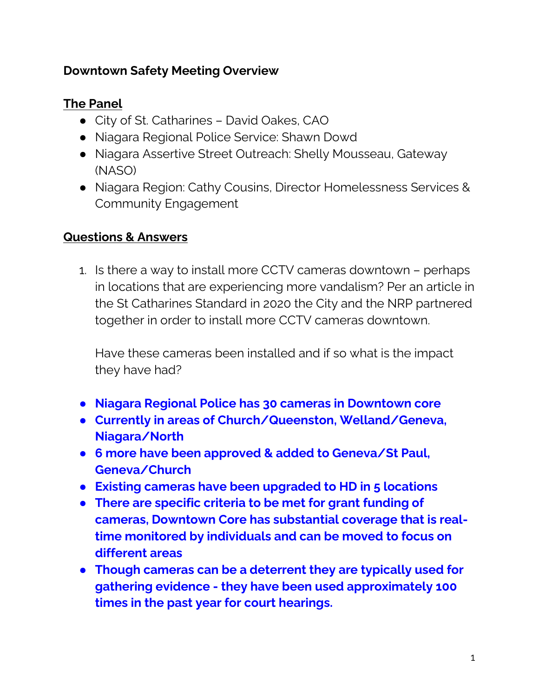#### **Downtown Safety Meeting Overview**

## **The Panel**

- City of St. Catharines David Oakes, CAO
- Niagara Regional Police Service: Shawn Dowd
- Niagara Assertive Street Outreach: Shelly Mousseau, Gateway (NASO)
- Niagara Region: Cathy Cousins, Director Homelessness Services & Community Engagement

#### **Questions & Answers**

1. Is there a way to install more CCTV cameras downtown – perhaps in locations that are experiencing more vandalism? Per an article in the St Catharines Standard in 2020 the City and the NRP partnered together in order to install more CCTV cameras downtown.

Have these cameras been installed and if so what is the impact they have had?

- **Niagara Regional Police has 30 cameras in Downtown core**
- **Currently in areas of Church/Queenston, Welland/Geneva, Niagara/North**
- **6 more have been approved & added to Geneva/St Paul, Geneva/Church**
- **Existing cameras have been upgraded to HD in 5 locations**
- **There are specific criteria to be met for grant funding of cameras, Downtown Core has substantial coverage that is realtime monitored by individuals and can be moved to focus on different areas**
- **Though cameras can be a deterrent they are typically used for gathering evidence - they have been used approximately 100 times in the past year for court hearings.**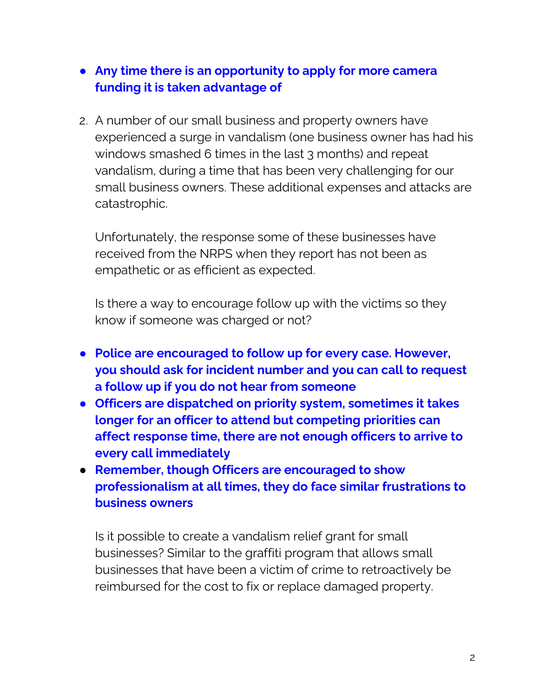## ● **Any time there is an opportunity to apply for more camera funding it is taken advantage of**

2. A number of our small business and property owners have experienced a surge in vandalism (one business owner has had his windows smashed 6 times in the last 3 months) and repeat vandalism, during a time that has been very challenging for our small business owners. These additional expenses and attacks are catastrophic.

Unfortunately, the response some of these businesses have received from the NRPS when they report has not been as empathetic or as efficient as expected.

Is there a way to encourage follow up with the victims so they know if someone was charged or not?

- **Police are encouraged to follow up for every case. However, you should ask for incident number and you can call to request a follow up if you do not hear from someone**
- **Officers are dispatched on priority system, sometimes it takes longer for an officer to attend but competing priorities can affect response time, there are not enough officers to arrive to every call immediately**
- **Remember, though Officers are encouraged to show professionalism at all times, they do face similar frustrations to business owners**

Is it possible to create a vandalism relief grant for small businesses? Similar to the graffiti program that allows small businesses that have been a victim of crime to retroactively be reimbursed for the cost to fix or replace damaged property.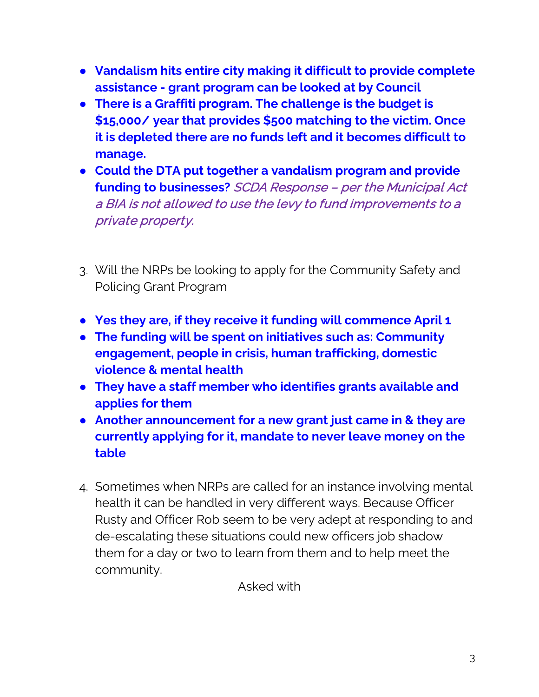- **Vandalism hits entire city making it difficult to provide complete assistance - grant program can be looked at by Council**
- **There is a Graffiti program. The challenge is the budget is \$15,000/ year that provides \$500 matching to the victim. Once it is depleted there are no funds left and it becomes difficult to manage.**
- **Could the DTA put together a vandalism program and provide funding to businesses?** SCDA Response – per the Municipal Act a BIA is not allowed to use the levy to fund improvements to a private property.
- 3. Will the NRPs be looking to apply for the Community Safety and Policing Grant Program
- **Yes they are, if they receive it funding will commence April 1**
- **The funding will be spent on initiatives such as: Community engagement, people in crisis, human trafficking, domestic violence & mental health**
- **They have a staff member who identifies grants available and applies for them**
- **Another announcement for a new grant just came in & they are currently applying for it, mandate to never leave money on the table**
- 4. Sometimes when NRPs are called for an instance involving mental health it can be handled in very different ways. Because Officer Rusty and Officer Rob seem to be very adept at responding to and de-escalating these situations could new officers job shadow them for a day or two to learn from them and to help meet the community.

Asked with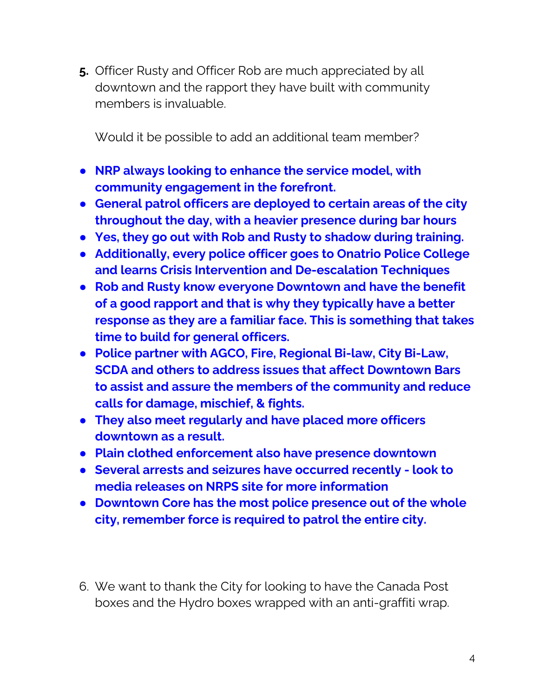**5.** Officer Rusty and Officer Rob are much appreciated by all downtown and the rapport they have built with community members is invaluable.

Would it be possible to add an additional team member?

- **NRP always looking to enhance the service model, with community engagement in the forefront.**
- **General patrol officers are deployed to certain areas of the city throughout the day, with a heavier presence during bar hours**
- **Yes, they go out with Rob and Rusty to shadow during training.**
- **Additionally, every police officer goes to Onatrio Police College and learns Crisis Intervention and De-escalation Techniques**
- **Rob and Rusty know everyone Downtown and have the benefit of a good rapport and that is why they typically have a better response as they are a familiar face. This is something that takes time to build for general officers.**
- **Police partner with AGCO, Fire, Regional Bi-law, City Bi-Law, SCDA and others to address issues that affect Downtown Bars to assist and assure the members of the community and reduce calls for damage, mischief, & fights.**
- **They also meet regularly and have placed more officers downtown as a result.**
- **Plain clothed enforcement also have presence downtown**
- **Several arrests and seizures have occurred recently - look to media releases on NRPS site for more information**
- **Downtown Core has the most police presence out of the whole city, remember force is required to patrol the entire city.**
- 6. We want to thank the City for looking to have the Canada Post boxes and the Hydro boxes wrapped with an anti-graffiti wrap.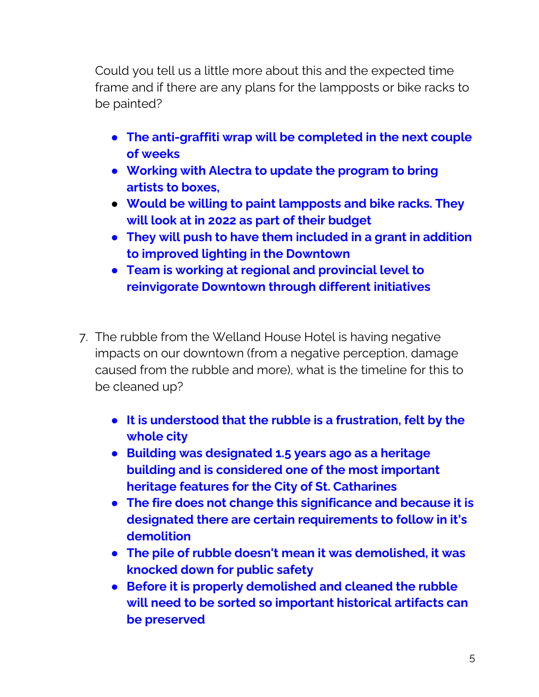Could you tell us a little more about this and the expected time frame and if there are any plans for the lampposts or bike racks to be painted?

- **The anti-graffiti wrap will be completed in the next couple of weeks**
- **Working with Alectra to update the program to bring artists to boxes,**
- **Would be willing to paint lampposts and bike racks. They will look at in 2022 as part of their budget**
- **They will push to have them included in a grant in addition to improved lighting in the Downtown**
- **Team is working at regional and provincial level to reinvigorate Downtown through different initiatives**
- 7. The rubble from the Welland House Hotel is having negative impacts on our downtown (from a negative perception, damage caused from the rubble and more), what is the timeline for this to be cleaned up?
	- **It is understood that the rubble is a frustration, felt by the whole city**
	- **Building was designated 1.5 years ago as a heritage building and is considered one of the most important heritage features for the City of St. Catharines**
	- **The fire does not change this significance and because it is designated there are certain requirements to follow in it's demolition**
	- **The pile of rubble doesn't mean it was demolished, it was knocked down for public safety**
	- **Before it is properly demolished and cleaned the rubble will need to be sorted so important historical artifacts can be preserved**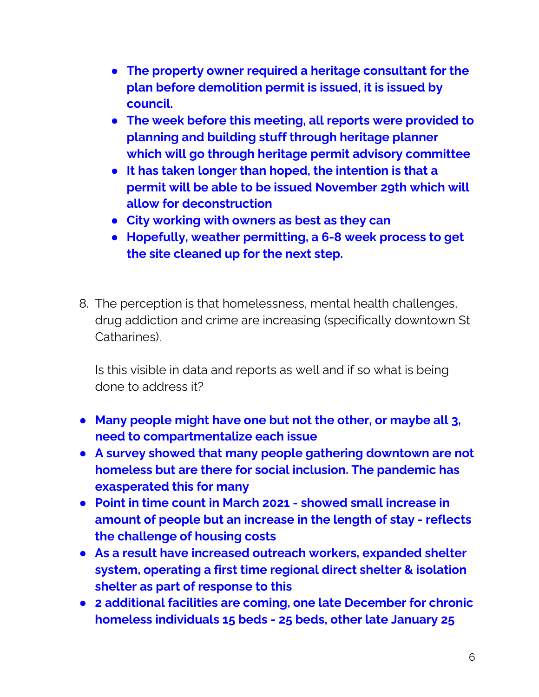- **The property owner required a heritage consultant for the plan before demolition permit is issued, it is issued by council.**
- **The week before this meeting, all reports were provided to planning and building stuff through heritage planner which will go through heritage permit advisory committee**
- **It has taken longer than hoped, the intention is that a permit will be able to be issued November 29th which will allow for deconstruction**
- **City working with owners as best as they can**
- **Hopefully, weather permitting, a 6-8 week process to get the site cleaned up for the next step.**
- 8. The perception is that homelessness, mental health challenges, drug addiction and crime are increasing (specifically downtown St Catharines).

Is this visible in data and reports as well and if so what is being done to address it?

- **Many people might have one but not the other, or maybe all 3, need to compartmentalize each issue**
- **A survey showed that many people gathering downtown are not homeless but are there for social inclusion. The pandemic has exasperated this for many**
- **Point in time count in March 2021 - showed small increase in amount of people but an increase in the length of stay - reflects the challenge of housing costs**
- **As a result have increased outreach workers, expanded shelter system, operating a first time regional direct shelter & isolation shelter as part of response to this**
- **2 additional facilities are coming, one late December for chronic homeless individuals 15 beds - 25 beds, other late January 25**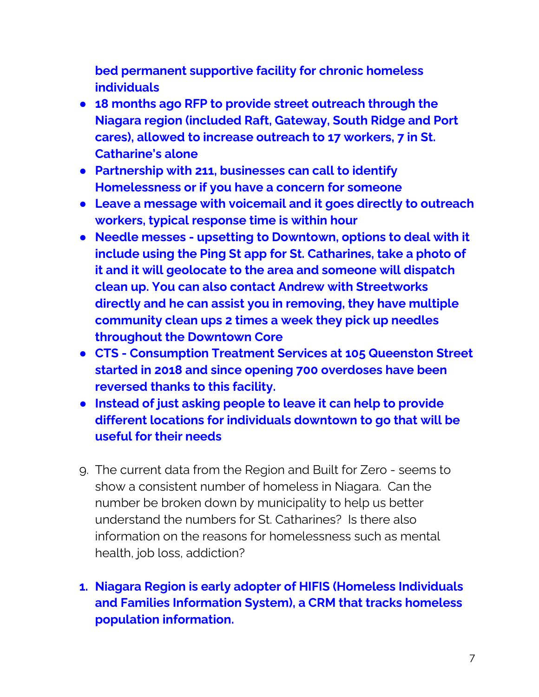**bed permanent supportive facility for chronic homeless individuals**

- **18 months ago RFP to provide street outreach through the Niagara region (included Raft, Gateway, South Ridge and Port cares), allowed to increase outreach to 17 workers, 7 in St. Catharine's alone**
- **Partnership with 211, businesses can call to identify Homelessness or if you have a concern for someone**
- **Leave a message with voicemail and it goes directly to outreach workers, typical response time is within hour**
- **Needle messes - upsetting to Downtown, options to deal with it include using the Ping St app for St. Catharines, take a photo of it and it will geolocate to the area and someone will dispatch clean up. You can also contact Andrew with Streetworks directly and he can assist you in removing, they have multiple community clean ups 2 times a week they pick up needles throughout the Downtown Core**
- **CTS - Consumption Treatment Services at 105 Queenston Street started in 2018 and since opening 700 overdoses have been reversed thanks to this facility.**
- **Instead of just asking people to leave it can help to provide different locations for individuals downtown to go that will be useful for their needs**
- 9. The current data from the Region and Built for Zero seems to show a consistent number of homeless in Niagara. Can the number be broken down by municipality to help us better understand the numbers for St. Catharines? Is there also information on the reasons for homelessness such as mental health, job loss, addiction?

# **1. Niagara Region is early adopter of HIFIS (Homeless Individuals and Families Information System), a CRM that tracks homeless population information.**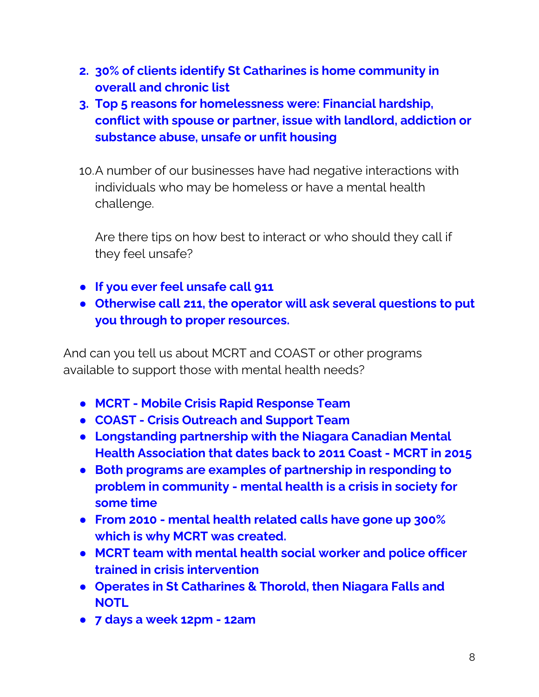- **2. 30% of clients identify St Catharines is home community in overall and chronic list**
- **3. Top 5 reasons for homelessness were: Financial hardship, conflict with spouse or partner, issue with landlord, addiction or substance abuse, unsafe or unfit housing**
- 10.A number of our businesses have had negative interactions with individuals who may be homeless or have a mental health challenge.

Are there tips on how best to interact or who should they call if they feel unsafe?

- **If you ever feel unsafe call 911**
- **Otherwise call 211, the operator will ask several questions to put you through to proper resources.**

And can you tell us about MCRT and COAST or other programs available to support those with mental health needs?

- **MCRT - Mobile Crisis Rapid Response Team**
- **COAST - Crisis Outreach and Support Team**
- **Longstanding partnership with the Niagara Canadian Mental Health Association that dates back to 2011 Coast - MCRT in 2015**
- **Both programs are examples of partnership in responding to problem in community - mental health is a crisis in society for some time**
- **From 2010 - mental health related calls have gone up 300% which is why MCRT was created.**
- **MCRT team with mental health social worker and police officer trained in crisis intervention**
- **Operates in St Catharines & Thorold, then Niagara Falls and NOTL**
- **7 days a week 12pm - 12am**